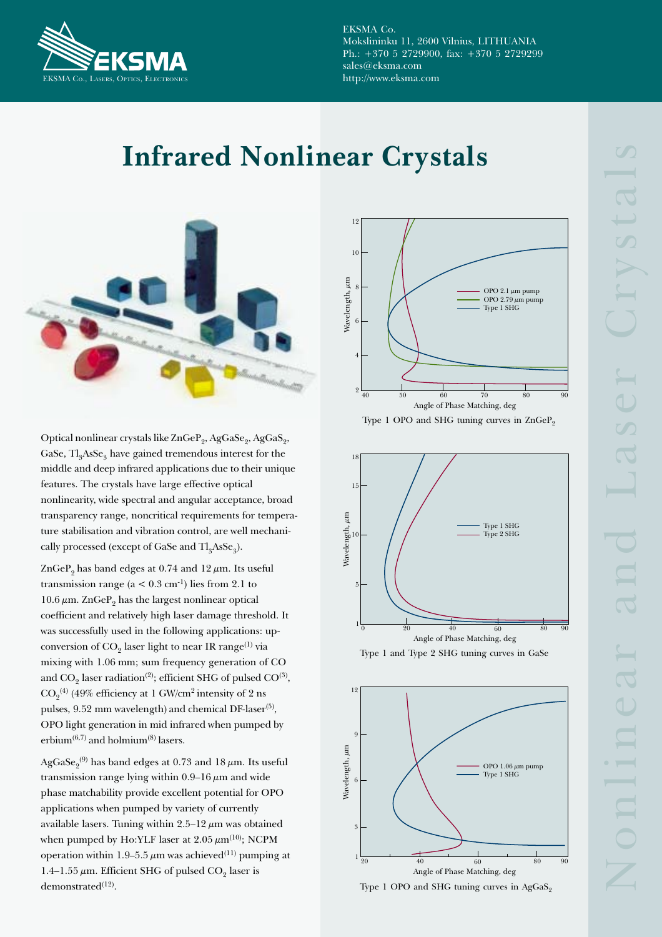

EKSMA Co. Mokslininku 11, 2600 Vilnius, LITHUANIA Ph.:  $+370$  5 2729900, fax:  $+370$  5 2729299 sales@eksma.com http://www.eksma.com

## **Infrared Nonlinear Crystals**



Optical nonlinear crystals like ZnGeP<sub>2</sub>, AgGaSe<sub>2</sub>, AgGaS<sub>2</sub>, GaSe,  $TI_{3}$ AsSe<sub>3</sub> have gained tremendous interest for the middle and deep infrared applications due to their unique features. The crystals have large effective optical nonlinearity, wide spectral and angular acceptance, broad transparency range, noncritical requirements for temperature stabilisation and vibration control, are well mechanically processed (except of GaSe and Tl<sub>a</sub>AsSe<sub>3</sub>).

ZnGeP<sub>9</sub> has band edges at 0.74 and 12  $\mu$ m. Its useful transmission range ( $a < 0.3$  cm<sup>-1</sup>) lies from 2.1 to  $10.6 \,\mu$ m. ZnGeP<sub>9</sub> has the largest nonlinear optical coefficient and relatively high laser damage threshold. It was successfully used in the following applications: upconversion of  $CO<sub>9</sub>$  laser light to near IR range<sup>(1)</sup> via mixing with 1.06 mm; sum frequency generation of CO and CO<sub>9</sub> laser radiation<sup>(2)</sup>; efficient SHG of pulsed CO<sup>(3)</sup>,  $CO<sub>9</sub><sup>(4)</sup>$  (49% efficiency at 1 GW/cm<sup>2</sup> intensity of 2 ns pulses, 9.52 mm wavelength) and chemical DF-laser<sup>(5)</sup>, OPO light generation in mid infrared when pumped by erbium<sup> $(6,7)$ </sup> and holmium<sup> $(8)$ </sup> lasers.

AgGaSe<sub>0</sub><sup>(9)</sup> has band edges at 0.73 and 18  $\mu$ m. Its useful transmission range lying within 0.9–16  $\mu$ m and wide phase matchability provide excellent potential for OPO applications when pumped by variety of currently available lasers. Tuning within  $2.5-12 \mu m$  was obtained when pumped by Ho:YLF laser at  $2.05 \ \mu m^{(10)}$ ; NCPM operation within 1.9–5.5  $\mu$ m was achieved<sup>(11)</sup> pumping at 1.4-1.55  $\mu$ m. Efficient SHG of pulsed CO<sub>2</sub> laser is demonstrated $(12)$ .







Type 1 and Type 2 SHG tuning curves in GaSe



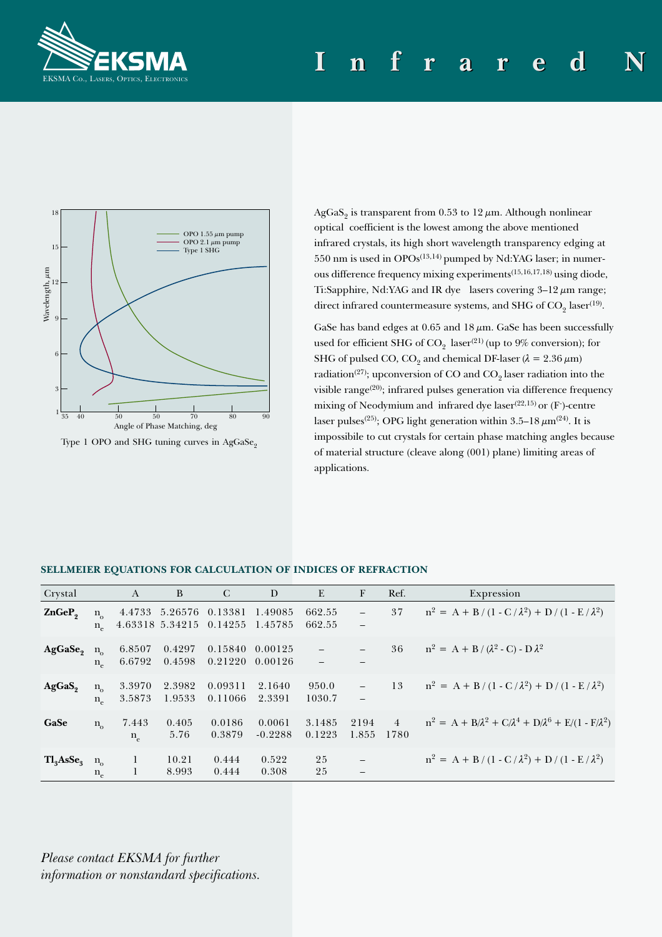



Type 1 OPO and SHG tuning curves in AgGaSe<sub>2</sub>

AgGaS<sub>2</sub> is transparent from 0.53 to 12  $\mu$ m. Although nonlinear optical coefficient is the lowest among the above mentioned infrared crystals, its high short wavelength transparency edging at  $550$  nm is used in OPOs<sup> $(13,14)$ </sup> pumped by Nd:YAG laser; in numerous difference frequency mixing experiments<sup>(15,16,17,18)</sup> using diode, Ti:Sapphire, Nd:YAG and IR dye lasers covering  $3-12 \mu m$  range; direct infrared countermeasure systems, and SHG of  $CO<sub>9</sub>$  laser<sup>(19)</sup>.

GaSe has band edges at  $0.65$  and  $18 \mu m$ . GaSe has been successfully used for efficient SHG of  $CO_2$  laser<sup>(21)</sup> (up to 9% conversion); for SHG of pulsed CO, CO<sub>2</sub> and chemical DF-laser ( $\lambda = 2.36 \,\mu\text{m}$ ) radiation<sup>(27)</sup>; upconversion of CO and  $CO<sub>9</sub>$  laser radiation into the visible range<sup>(20)</sup>; infrared pulses generation via difference frequency mixing of Neodymium and infrared dye laser<sup>(22,15)</sup> or  $(F)$ -centre laser pulses<sup>(25)</sup>; OPG light generation within 3.5–18  $\mu$ m<sup>(24)</sup>. It is impossibile to cut crystals for certain phase matching angles because of material structure (cleave along (001) plane) limiting areas of applications.

| Crystal                           |                             | A                    | B                          | C                  | D                   | E                | F                                             | Ref.                   | Expression                                                                |
|-----------------------------------|-----------------------------|----------------------|----------------------------|--------------------|---------------------|------------------|-----------------------------------------------|------------------------|---------------------------------------------------------------------------|
| ZnGeP <sub>2</sub>                | $n_{\alpha}$<br>$n_{\circ}$ | 4.4733               | 5.26576<br>4.63318 5.34215 | 0.13381<br>0.14255 | 1.49085<br>1.45785  | 662.55<br>662.55 | $\overline{\phantom{0}}$<br>$\qquad \qquad -$ | 37                     | $n^2 = A + B/(1 - C/\lambda^2) + D/(1 - E/\lambda^2)$                     |
| AgGase                            | $n_{\alpha}$<br>$n_{\circ}$ | 6.8507<br>6.6792     | 0.4297<br>0.4598           | 0.15840<br>0.21220 | 0.00125<br>0.00126  |                  | $\overline{\phantom{0}}$                      | 36                     | $n^2 = A + B/(\lambda^2 - C) - D\lambda^2$                                |
| AgGaS <sub>2</sub>                | $n_{\alpha}$<br>$n_{\rm e}$ | 3.3970<br>3.5873     | 2.3982<br>1.9533           | 0.09311<br>0.11066 | 2.1640<br>2.3391    | 950.0<br>1030.7  | $\overline{\phantom{0}}$                      | 13                     | $n^2 = A + B/(1 - C/\lambda^2) + D/(1 - E/\lambda^2)$                     |
| GaSe                              | $n_{\alpha}$                | 7.443<br>$n_{\circ}$ | 0.405<br>5.76              | 0.0186<br>0.3879   | 0.0061<br>$-0.2288$ | 3.1485<br>0.1223 | 2194<br>1.855                                 | $\overline{4}$<br>1780 | $n^2 = A + B/\lambda^2 + C/\lambda^4 + D/\lambda^6 + E/(1 - F/\lambda^2)$ |
| Tl <sub>3</sub> AsSe <sub>3</sub> | $n_{o}$<br>$n_e$            | 1<br>1               | 10.21<br>8.993             | 0.444<br>0.444     | 0.522<br>0.308      | 25<br>25         | $\qquad \qquad -$<br>–                        |                        | $n^2 = A + B/(1 - C/\lambda^2) + D/(1 - E/\lambda^2)$                     |

## SELLMEIER EQUATIONS FOR CALCULATION OF INDICES OF REFRACTION

Please contact EKSMA for further information or nonstandard specifications.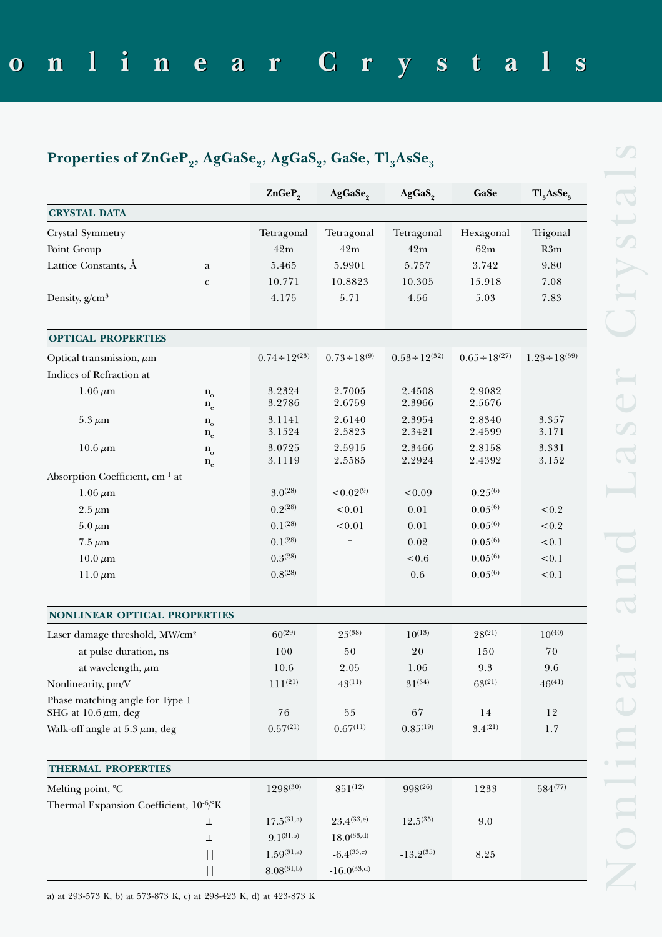## Properties of ZnGeP<sub>2</sub>, AgGaSe<sub>2</sub>, AgGaS<sub>2</sub>, GaSe, Tl<sub>3</sub>AsSe<sub>3</sub>

|                                                              |                                  | ZnGeP <sub>2</sub>    | AgGaSe <sub>2</sub>  | AgGaS <sub>2</sub>                   | GaSe                                 | Tl <sub>3</sub> AsSe <sub>3</sub> |
|--------------------------------------------------------------|----------------------------------|-----------------------|----------------------|--------------------------------------|--------------------------------------|-----------------------------------|
| <b>CRYSTAL DATA</b>                                          |                                  |                       |                      |                                      |                                      |                                   |
| Crystal Symmetry                                             |                                  | Tetragonal            | Tetragonal           | Tetragonal                           | Hexagonal                            | Trigonal                          |
| Point Group                                                  | 42m                              | 42m                   | 42m                  | 62m                                  | R3m                                  |                                   |
| Lattice Constants, Å<br>a                                    |                                  | 5.465                 | 5.9901               | 5.757                                | 3.742                                | 9.80                              |
|                                                              | $\mathbf C$                      | 10.771                | 10.8823              | 10.305                               | 15.918                               | 7.08                              |
| Density, $g/cm^3$                                            |                                  | 4.175                 | 5.71                 | 4.56                                 | 5.03                                 | 7.83                              |
| <b>OPTICAL PROPERTIES</b>                                    |                                  |                       |                      |                                      |                                      |                                   |
| Optical transmission, $\mu$ m                                |                                  | $0.74 \div 12^{(23)}$ | $0.73 \div 18^{(9)}$ | $0.53 \div 12^{(32)}$                | $0.65 \div 18^{(27)}$                | $1.23 \div 18^{(39)}$             |
| Indices of Refraction at                                     |                                  |                       |                      |                                      |                                      |                                   |
| $1.06 \,\mu m$                                               | $\mathbf{n}_{\text{o}}$<br>$n_e$ | 3.2324<br>3.2786      | 2.7005<br>2.6759     | 2.4508<br>2.3966                     | 2.9082<br>2.5676                     |                                   |
| $5.3 \mu m$                                                  | $\mathbf{n}_{\text{o}}$<br>$n_e$ | 3.1141<br>3.1524      | 2.6140<br>2.5823     | 2.3954<br>2.3421<br>2.3466<br>2.2924 | 2.8340<br>2.4599<br>2.8158<br>2.4392 | 3.357<br>3.171<br>3.331<br>3.152  |
| $10.6 \,\mu m$                                               | $n_{o}$<br>$\rm n_e$             | 3.0725<br>3.1119      | 2.5915<br>2.5585     |                                      |                                      |                                   |
| Absorption Coefficient, cm <sup>-1</sup> at                  |                                  |                       |                      |                                      |                                      |                                   |
| $1.06 \,\mu m$                                               |                                  | $3.0^{(28)}$          | ${}_{0.02^{(9)}}$    | < 0.09                               | $0.25^{(6)}$                         |                                   |
| $2.5 \,\mu m$                                                |                                  | $0.2^{(28)}$          | < 0.01               | 0.01                                 | $0.05^{(6)}$                         | < 0.2                             |
| $5.0 \,\mu m$                                                |                                  | $0.1^{(28)}$          | < 0.01               | 0.01                                 | $0.05^{(6)}$                         | < 0.2                             |
| $7.5 \,\mu m$                                                |                                  | $0.1^{(28)}$          | $\qquad \qquad -$    | 0.02                                 | $0.05^{(6)}$                         | < 0.1                             |
| $10.0 \,\mu m$                                               |                                  | 0.3(28)               |                      | < 0.6                                | $0.05^{(6)}$                         | < 0.1                             |
| 11.0 $\mu$ m                                                 |                                  | 0.8(28)               |                      | 0.6                                  | $0.05^{(6)}$                         | < 0.1                             |
| NONLINEAR OPTICAL PROPERTIES                                 |                                  |                       |                      |                                      |                                      |                                   |
| Laser damage threshold, MW/cm <sup>2</sup>                   |                                  | $60^{(29)}$           | $25^{(38)}$          | $10^{(13)}$                          | $28^{(21)}$                          | $10^{(40)}$                       |
| at pulse duration, ns                                        | 100                              | 50                    | 20                   | 150                                  | 70                                   |                                   |
| at wavelength, $\mu$ m                                       | 10.6                             | 2.05                  | 1.06                 | 9.3                                  | 9.6                                  |                                   |
| Nonlinearity, pm/V                                           | $111^{(21)}$                     | $43^{(11)}$           | $31^{(34)}$          | $63^{(21)}$                          | $46^{(41)}$                          |                                   |
| Phase matching angle for Type 1<br>SHG at $10.6 \mu m$ , deg | 76                               | $5\,5$                | 67                   | 14                                   | 12                                   |                                   |
| Walk-off angle at $5.3 \mu m$ , deg                          | 0.57(21)                         | 0.67(11)              | $0.85^{(19)}$        | $3.4^{(21)}$                         | 1.7                                  |                                   |
| <b>THERMAL PROPERTIES</b>                                    |                                  |                       |                      |                                      |                                      |                                   |
| Melting point, °C                                            |                                  | $1298^{(30)}$         | $851^{(12)}$         | 998(26)                              | 1233                                 | $584^{(77)}$                      |
| Thermal Expansion Coefficient, 10 <sup>-6</sup> /°K          |                                  |                       |                      |                                      |                                      |                                   |
|                                                              | ⊥                                | $17.5^{(31,a)}$       | $23.4^{(33,e)}$      | $12.5^{(35)}$                        | 9.0                                  |                                   |
|                                                              | ⊥                                | $9.1^{(31.b)}$        | $18.0^{(33,d)}$      |                                      |                                      |                                   |
|                                                              | $\vert \vert$                    | $1.59^{(31,a)}$       | $-6.4^{(33,e)}$      | $-13.2^{(35)}$                       | 8.25                                 |                                   |
|                                                              |                                  | $8.08^{(31,b)}$       | $-16.0^{(33,d)}$     |                                      |                                      |                                   |

a) at 293-573 K, b) at 573-873 K, c) at 298-423 K, d) at 423-873 K